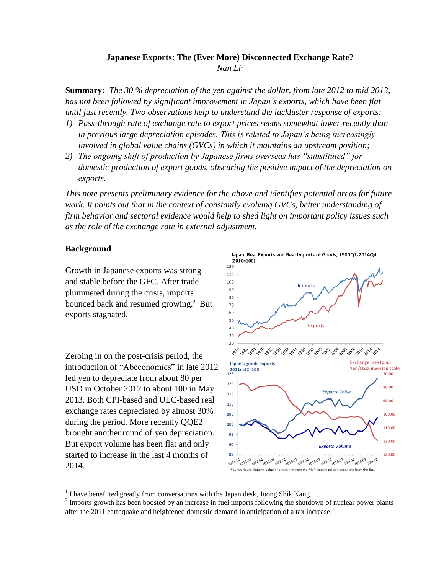## **Japanese Exports: The (Ever More) Disconnected Exchange Rate?**

*Nan Li<sup>1</sup>*

**Summary:** *The 30 % depreciation of the yen against the dollar, from late 2012 to mid 2013, has not been followed by significant improvement in Japan's exports, which have been flat until just recently. Two observations help to understand the lackluster response of exports:* 

- *1) Pass-through rate of exchange rate to export prices seems somewhat lower recently than in previous large depreciation episodes. This is related to Japan's being increasingly involved in global value chains (GVCs) in which it maintains an upstream position;*
- *2) The ongoing shift of production by Japanese firms overseas has "substituted" for domestic production of export goods, obscuring the positive impact of the depreciation on exports.*

*This note presents preliminary evidence for the above and identifies potential areas for future work. It points out that in the context of constantly evolving GVCs, better understanding of firm behavior and sectoral evidence would help to shed light on important policy issues such as the role of the exchange rate in external adjustment.*

## **Background**

 $\overline{a}$ 

Growth in Japanese exports was strong and stable before the GFC. After trade plummeted during the crisis, imports bounced back and resumed growing.<sup>2</sup> But exports stagnated.

Zeroing in on the post-crisis period, the introduction of "Abeconomics" in late 2012 led yen to depreciate from about 80 per USD in October 2012 to about 100 in May 2013. Both CPI-based and ULC-based real exchange rates depreciated by almost 30% during the period. More recently QQE2 brought another round of yen depreciation. But export volume has been flat and only started to increase in the last 4 months of 2014.



 $<sup>1</sup>$  I have benefitted greatly from conversations with the Japan desk, Joong Shik Kang.</sup>

 $2 \text{ imports growth has been boosted by an increase in fuel imports following the shutdown of nuclear power plants.}$ after the 2011 earthquake and heightened domestic demand in anticipation of a tax increase.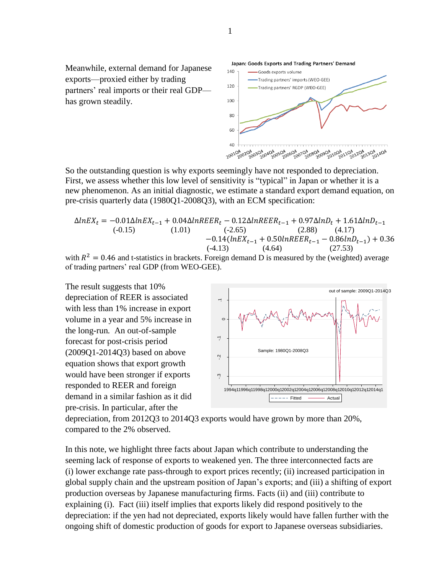Meanwhile, external demand for Japanese exports—proxied either by trading partners' real imports or their real GDP has grown steadily.



Japan: Goods Exports and Trading Partners' Demand

So the outstanding question is why exports seemingly have not responded to depreciation. First, we assess whether this low level of sensitivity is "typical" in Japan or whether it is a new phenomenon. As an initial diagnostic, we estimate a standard export demand equation, on pre-crisis quarterly data (1980Q1-2008Q3), with an ECM specification:

$$
\Delta lnEX_t = -0.01 \Delta lnEX_{t-1} + 0.04 \Delta lnREER_t - 0.12 \Delta lnREER_{t-1} + 0.97 \Delta lnD_t + 1.61 \Delta lnD_{t-1}
$$
\n
$$
(-0.15) \qquad (1.01) \qquad (-2.65) \qquad (2.88) \qquad (4.17)
$$
\n
$$
-0.14(lnEX_{t-1} + 0.50 lnREER_{t-1} - 0.86 lnD_{t-1}) + 0.36
$$
\n
$$
(-4.13) \qquad (4.64) \qquad (27.53)
$$

with  $R^2 = 0.46$  and t-statistics in brackets. Foreign demand D is measured by the (weighted) average of trading partners' real GDP (from WEO-GEE).

The result suggests that 10% depreciation of REER is associated with less than 1% increase in export volume in a year and 5% increase in the long-run*.* An out-of-sample forecast for post-crisis period (2009Q1-2014Q3) based on above equation shows that export growth would have been stronger if exports responded to REER and foreign demand in a similar fashion as it did pre-crisis. In particular, after the crowth<br>15<br>is<br>as<br>ex



depreciation, from 2012Q3 to 2014Q3 exports would have grown by more than 20%, compared to the 2% observed.

In this note, we highlight three facts about Japan which contribute to understanding the seeming lack of response of exports to weakened yen. The three interconnected facts are (i) lower exchange rate pass-through to export prices recently; (ii) increased participation in global supply chain and the upstream position of Japan's exports; and (iii) a shifting of export production overseas by Japanese manufacturing firms. Facts (ii) and (iii) contribute to explaining (i). Fact (iii) itself implies that exports likely did respond positively to the depreciation: if the yen had not depreciated, exports likely would have fallen further with the ongoing shift of domestic production of goods for export to Japanese overseas subsidiaries.

1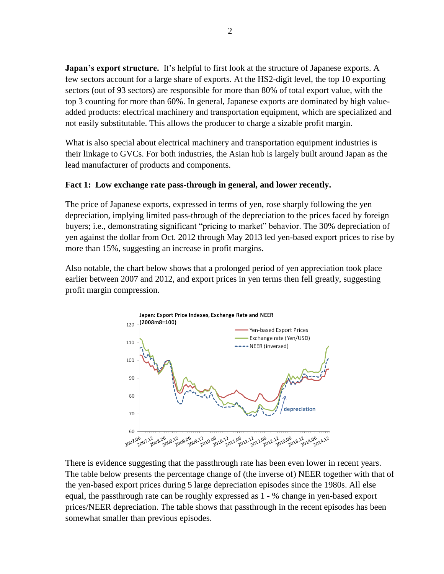**Japan's export structure.** It's helpful to first look at the structure of Japanese exports. A few sectors account for a large share of exports. At the HS2-digit level, the top 10 exporting sectors (out of 93 sectors) are responsible for more than 80% of total export value, with the top 3 counting for more than 60%. In general, Japanese exports are dominated by high valueadded products: electrical machinery and transportation equipment, which are specialized and not easily substitutable. This allows the producer to charge a sizable profit margin.

What is also special about electrical machinery and transportation equipment industries is their linkage to GVCs. For both industries, the Asian hub is largely built around Japan as the lead manufacturer of products and components.

## **Fact 1: Low exchange rate pass-through in general, and lower recently.**

The price of Japanese exports, expressed in terms of yen, rose sharply following the yen depreciation, implying limited pass-through of the depreciation to the prices faced by foreign buyers; i.e., demonstrating significant "pricing to market" behavior. The 30% depreciation of yen against the dollar from Oct. 2012 through May 2013 led yen-based export prices to rise by more than 15%, suggesting an increase in profit margins.

Also notable, the chart below shows that a prolonged period of yen appreciation took place earlier between 2007 and 2012, and export prices in yen terms then fell greatly, suggesting profit margin compression.



There is evidence suggesting that the passthrough rate has been even lower in recent years. The table below presents the percentage change of (the inverse of) NEER together with that of the yen-based export prices during 5 large depreciation episodes since the 1980s. All else equal, the passthrough rate can be roughly expressed as 1 - % change in yen-based export prices/NEER depreciation. The table shows that passthrough in the recent episodes has been somewhat smaller than previous episodes.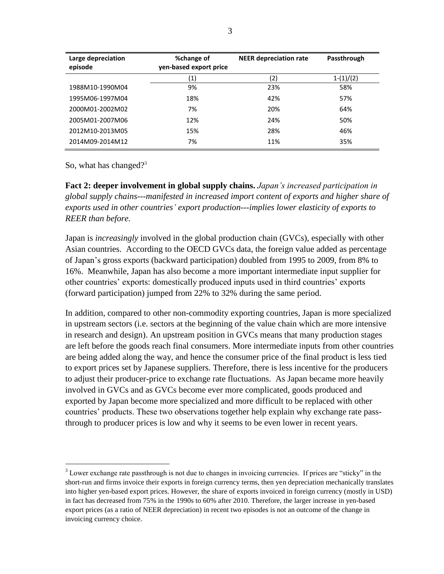| Large depreciation<br>episode | %change of<br>yen-based export price | <b>NEER depreciation rate</b> | Passthrough |
|-------------------------------|--------------------------------------|-------------------------------|-------------|
|                               | (1)                                  | (2)                           | $1-(1)/(2)$ |
| 1988M10-1990M04               | 9%                                   | 23%                           | 58%         |
|                               |                                      |                               |             |
| 1995M06-1997M04               | 18%                                  | 42%                           | 57%         |
| 2000M01-2002M02               | 7%                                   | 20%                           | 64%         |
| 2005M01-2007M06               | 12%                                  | 24%                           | 50%         |
| 2012M10-2013M05               | 15%                                  | 28%                           | 46%         |
| 2014M09-2014M12               | 7%                                   | 11%                           | 35%         |

So, what has changed?<sup>3</sup>

 $\overline{a}$ 

**Fact 2: deeper involvement in global supply chains.** *Japan's increased participation in global supply chains---manifested in increased import content of exports and higher share of exports used in other countries' export production---implies lower elasticity of exports to REER than before.* 

Japan is *increasingly* involved in the global production chain (GVCs), especially with other Asian countries. According to the OECD GVCs data, the foreign value added as percentage of Japan's gross exports (backward participation) doubled from 1995 to 2009, from 8% to 16%. Meanwhile, Japan has also become a more important intermediate input supplier for other countries' exports: domestically produced inputs used in third countries' exports (forward participation) jumped from 22% to 32% during the same period.

In addition, compared to other non-commodity exporting countries, Japan is more specialized in upstream sectors (i.e. sectors at the beginning of the value chain which are more intensive in research and design). An upstream position in GVCs means that many production stages are left before the goods reach final consumers. More intermediate inputs from other countries are being added along the way, and hence the consumer price of the final product is less tied to export prices set by Japanese suppliers. Therefore, there is less incentive for the producers to adjust their producer-price to exchange rate fluctuations. As Japan became more heavily involved in GVCs and as GVCs become ever more complicated, goods produced and exported by Japan become more specialized and more difficult to be replaced with other countries' products. These two observations together help explain why exchange rate passthrough to producer prices is low and why it seems to be even lower in recent years.

<sup>&</sup>lt;sup>3</sup> Lower exchange rate passthrough is not due to changes in invoicing currencies. If prices are "sticky" in the short-run and firms invoice their exports in foreign currency terms, then yen depreciation mechanically translates into higher yen-based export prices. However, the share of exports invoiced in foreign currency (mostly in USD) in fact has decreased from 75% in the 1990s to 60% after 2010. Therefore, the larger increase in yen-based export prices (as a ratio of NEER depreciation) in recent two episodes is not an outcome of the change in invoicing currency choice.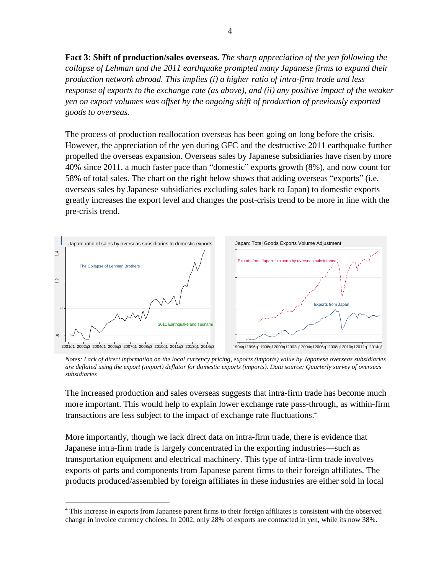**Fact 3: Shift of production/sales overseas.** *The sharp appreciation of the yen following the collapse of Lehman and the 2011 earthquake prompted many Japanese firms to expand their production network abroad. This implies (i) a higher ratio of intra-firm trade and less response of exports to the exchange rate (as above), and (ii) any positive impact of the weaker yen on export volumes was offset by the ongoing shift of production of previously exported goods to overseas.* 

The process of production reallocation overseas has been going on long before the crisis. However, the appreciation of the yen during GFC and the destructive 2011 earthquake further propelled the overseas expansion. Overseas sales by Japanese subsidiaries have risen by more 40% since 2011, a much faster pace than "domestic" exports growth (8%), and now count for 58% of total sales. The chart on the right below shows that adding overseas "exports" (i.e. overseas sales by Japanese subsidiaries excluding sales back to Japan) to domestic exports greatly increases the export level and changes the post-crisis trend to be more in line with the pre-crisis trend.



*Notes: Lack of direct information on the local currency pricing, exports (imports) value by Japanese overseas subsidiaries are deflated using the export (import) deflator for domestic exports (imports). Data source: Quarterly survey of overseas subsidiaries*

The increased production and sales overseas suggests that intra-firm trade has become much more important. This would help to explain lower exchange rate pass-through, as within-firm transactions are less subject to the impact of exchange rate fluctuations. 4

More importantly, though we lack direct data on intra-firm trade, there is evidence that Japanese intra-firm trade is largely concentrated in the exporting industries—such as transportation equipment and electrical machinery. This type of intra-firm trade involves exports of parts and components from Japanese parent firms to their foreign affiliates. The products produced/assembled by foreign affiliates in these industries are either sold in local

 $\overline{a}$ 

<sup>&</sup>lt;sup>4</sup> This increase in exports from Japanese parent firms to their foreign affiliates is consistent with the observed change in invoice currency choices. In 2002, only 28% of exports are contracted in yen, while its now 38%.